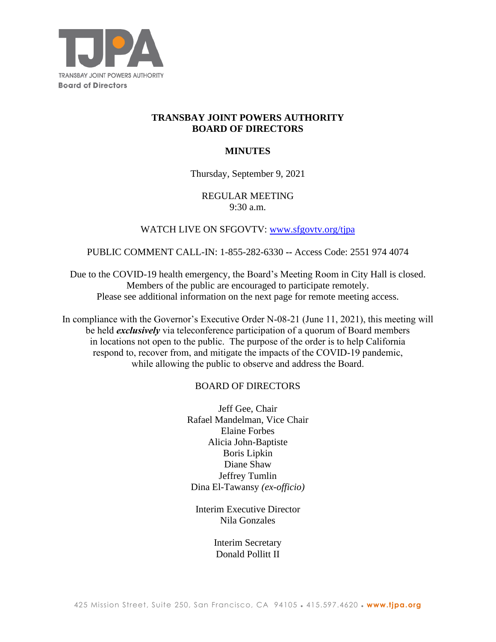

## **TRANSBAY JOINT POWERS AUTHORITY BOARD OF DIRECTORS**

# **MINUTES**

## Thursday, September 9, 2021

## REGULAR MEETING 9:30 a.m.

# WATCH LIVE ON SFGOVTV: [www.sfgovtv.org/tjpa](http://www.sfgovtv.org/tjpa)

## PUBLIC COMMENT CALL-IN: 1-855-282-6330 **--** Access Code: 2551 974 4074

Due to the COVID-19 health emergency, the Board's Meeting Room in City Hall is closed. Members of the public are encouraged to participate remotely. Please see additional information on the next page for remote meeting access.

In compliance with the Governor's Executive Order N-08-21 (June 11, 2021), this meeting will be held *exclusively* via teleconference participation of a quorum of Board members in locations not open to the public. The purpose of the order is to help California respond to, recover from, and mitigate the impacts of the COVID-19 pandemic, while allowing the public to observe and address the Board.

# BOARD OF DIRECTORS

Jeff Gee, Chair Rafael Mandelman, Vice Chair Elaine Forbes Alicia John-Baptiste Boris Lipkin Diane Shaw Jeffrey Tumlin Dina El-Tawansy *(ex-officio)*

Interim Executive Director Nila Gonzales

> Interim Secretary Donald Pollitt II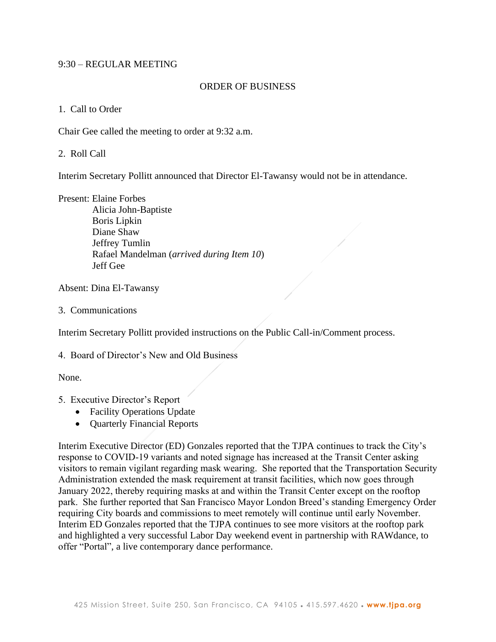### 9:30 – REGULAR MEETING

### ORDER OF BUSINESS

### 1. Call to Order

Chair Gee called the meeting to order at 9:32 a.m.

2. Roll Call

Interim Secretary Pollitt announced that Director El-Tawansy would not be in attendance.

Present: Elaine Forbes

Alicia John-Baptiste Boris Lipkin Diane Shaw Jeffrey Tumlin Rafael Mandelman (*arrived during Item 10*) Jeff Gee

Absent: Dina El-Tawansy

3. Communications

Interim Secretary Pollitt provided instructions on the Public Call-in/Comment process.

4. Board of Director's New and Old Business

None.

### 5. Executive Director's Report

- Facility Operations Update
- Quarterly Financial Reports

Interim Executive Director (ED) Gonzales reported that the TJPA continues to track the City's response to COVID-19 variants and noted signage has increased at the Transit Center asking visitors to remain vigilant regarding mask wearing. She reported that the Transportation Security Administration extended the mask requirement at transit facilities, which now goes through January 2022, thereby requiring masks at and within the Transit Center except on the rooftop park. She further reported that San Francisco Mayor London Breed's standing Emergency Order requiring City boards and commissions to meet remotely will continue until early November. Interim ED Gonzales reported that the TJPA continues to see more visitors at the rooftop park and highlighted a very successful Labor Day weekend event in partnership with RAWdance, to offer "Portal", a live contemporary dance performance.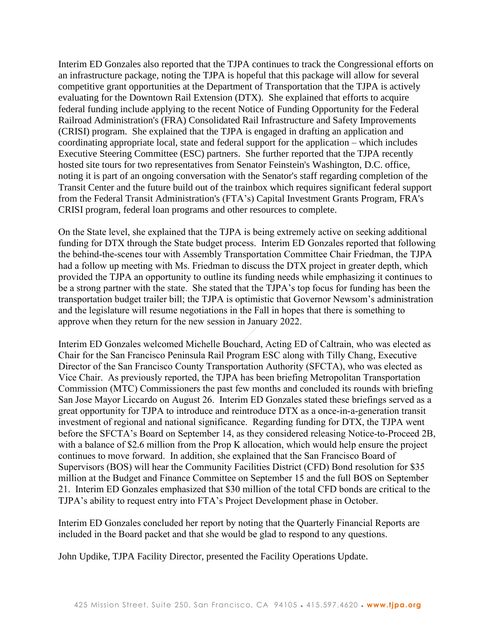Interim ED Gonzales also reported that the TJPA continues to track the Congressional efforts on an infrastructure package, noting the TJPA is hopeful that this package will allow for several competitive grant opportunities at the Department of Transportation that the TJPA is actively evaluating for the Downtown Rail Extension (DTX). She explained that efforts to acquire federal funding include applying to the recent Notice of Funding Opportunity for the Federal Railroad Administration's (FRA) Consolidated Rail Infrastructure and Safety Improvements (CRISI) program. She explained that the TJPA is engaged in drafting an application and coordinating appropriate local, state and federal support for the application – which includes Executive Steering Committee (ESC) partners. She further reported that the TJPA recently hosted site tours for two representatives from Senator Feinstein's Washington, D.C. office, noting it is part of an ongoing conversation with the Senator's staff regarding completion of the Transit Center and the future build out of the trainbox which requires significant federal support from the Federal Transit Administration's (FTA's) Capital Investment Grants Program, FRA's CRISI program, federal loan programs and other resources to complete.

On the State level, she explained that the TJPA is being extremely active on seeking additional funding for DTX through the State budget process. Interim ED Gonzales reported that following the behind-the-scenes tour with Assembly Transportation Committee Chair Friedman, the TJPA had a follow up meeting with Ms. Friedman to discuss the DTX project in greater depth, which provided the TJPA an opportunity to outline its funding needs while emphasizing it continues to be a strong partner with the state. She stated that the TJPA's top focus for funding has been the transportation budget trailer bill; the TJPA is optimistic that Governor Newsom's administration and the legislature will resume negotiations in the Fall in hopes that there is something to approve when they return for the new session in January 2022.

Interim ED Gonzales welcomed Michelle Bouchard, Acting ED of Caltrain, who was elected as Chair for the San Francisco Peninsula Rail Program ESC along with Tilly Chang, Executive Director of the San Francisco County Transportation Authority (SFCTA), who was elected as Vice Chair. As previously reported, the TJPA has been briefing Metropolitan Transportation Commission (MTC) Commissioners the past few months and concluded its rounds with briefing San Jose Mayor Liccardo on August 26. Interim ED Gonzales stated these briefings served as a great opportunity for TJPA to introduce and reintroduce DTX as a once-in-a-generation transit investment of regional and national significance. Regarding funding for DTX, the TJPA went before the SFCTA's Board on September 14, as they considered releasing Notice-to-Proceed 2B, with a balance of \$2.6 million from the Prop K allocation, which would help ensure the project continues to move forward. In addition, she explained that the San Francisco Board of Supervisors (BOS) will hear the Community Facilities District (CFD) Bond resolution for \$35 million at the Budget and Finance Committee on September 15 and the full BOS on September 21. Interim ED Gonzales emphasized that \$30 million of the total CFD bonds are critical to the TJPA's ability to request entry into FTA's Project Development phase in October.

Interim ED Gonzales concluded her report by noting that the Quarterly Financial Reports are included in the Board packet and that she would be glad to respond to any questions.

John Updike, TJPA Facility Director, presented the Facility Operations Update.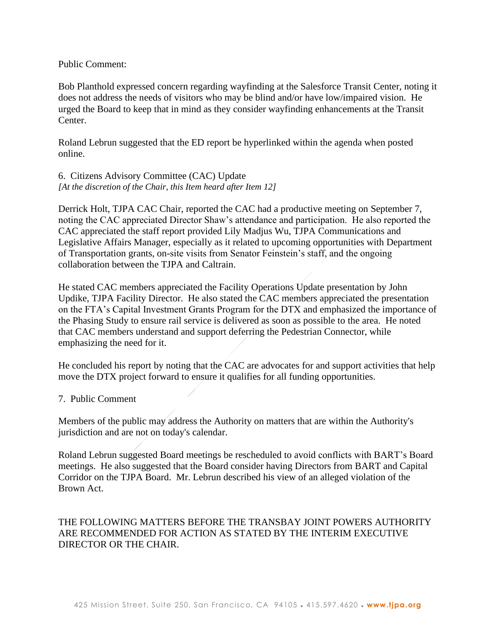### Public Comment:

Bob Planthold expressed concern regarding wayfinding at the Salesforce Transit Center, noting it does not address the needs of visitors who may be blind and/or have low/impaired vision. He urged the Board to keep that in mind as they consider wayfinding enhancements at the Transit Center.

Roland Lebrun suggested that the ED report be hyperlinked within the agenda when posted online.

6. Citizens Advisory Committee (CAC) Update *[At the discretion of the Chair, this Item heard after Item 12]*

Derrick Holt, TJPA CAC Chair, reported the CAC had a productive meeting on September 7, noting the CAC appreciated Director Shaw's attendance and participation. He also reported the CAC appreciated the staff report provided Lily Madjus Wu, TJPA Communications and Legislative Affairs Manager, especially as it related to upcoming opportunities with Department of Transportation grants, on-site visits from Senator Feinstein's staff, and the ongoing collaboration between the TJPA and Caltrain.

He stated CAC members appreciated the Facility Operations Update presentation by John Updike, TJPA Facility Director. He also stated the CAC members appreciated the presentation on the FTA's Capital Investment Grants Program for the DTX and emphasized the importance of the Phasing Study to ensure rail service is delivered as soon as possible to the area. He noted that CAC members understand and support deferring the Pedestrian Connector, while emphasizing the need for it.

He concluded his report by noting that the CAC are advocates for and support activities that help move the DTX project forward to ensure it qualifies for all funding opportunities.

### 7. Public Comment

Members of the public may address the Authority on matters that are within the Authority's jurisdiction and are not on today's calendar.

Roland Lebrun suggested Board meetings be rescheduled to avoid conflicts with BART's Board meetings. He also suggested that the Board consider having Directors from BART and Capital Corridor on the TJPA Board. Mr. Lebrun described his view of an alleged violation of the Brown Act.

## THE FOLLOWING MATTERS BEFORE THE TRANSBAY JOINT POWERS AUTHORITY ARE RECOMMENDED FOR ACTION AS STATED BY THE INTERIM EXECUTIVE DIRECTOR OR THE CHAIR.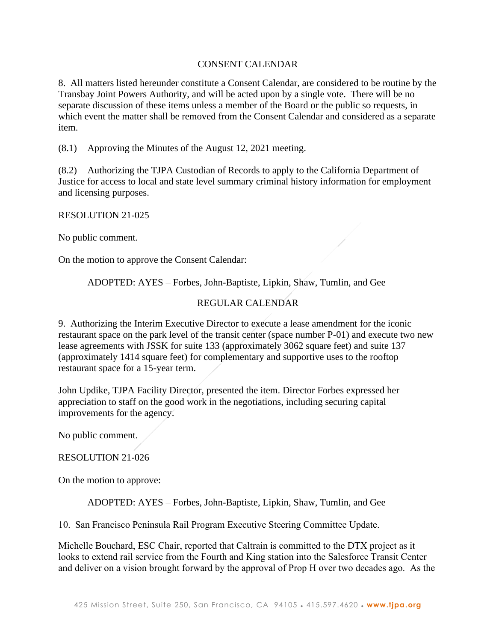## CONSENT CALENDAR

8. All matters listed hereunder constitute a Consent Calendar, are considered to be routine by the Transbay Joint Powers Authority, and will be acted upon by a single vote. There will be no separate discussion of these items unless a member of the Board or the public so requests, in which event the matter shall be removed from the Consent Calendar and considered as a separate item.

(8.1) Approving the Minutes of the August 12, 2021 meeting.

(8.2) Authorizing the TJPA Custodian of Records to apply to the California Department of Justice for access to local and state level summary criminal history information for employment and licensing purposes.

RESOLUTION 21-025

No public comment.

On the motion to approve the Consent Calendar:

ADOPTED: AYES – Forbes, John-Baptiste, Lipkin, Shaw, Tumlin, and Gee

## REGULAR CALENDAR

9. Authorizing the Interim Executive Director to execute a lease amendment for the iconic restaurant space on the park level of the transit center (space number P-01) and execute two new lease agreements with JSSK for suite 133 (approximately 3062 square feet) and suite 137 (approximately 1414 square feet) for complementary and supportive uses to the rooftop restaurant space for a 15-year term.

John Updike, TJPA Facility Director, presented the item. Director Forbes expressed her appreciation to staff on the good work in the negotiations, including securing capital improvements for the agency.

No public comment.

#### RESOLUTION 21-026

On the motion to approve:

ADOPTED: AYES – Forbes, John-Baptiste, Lipkin, Shaw, Tumlin, and Gee

10. San Francisco Peninsula Rail Program Executive Steering Committee Update.

Michelle Bouchard, ESC Chair, reported that Caltrain is committed to the DTX project as it looks to extend rail service from the Fourth and King station into the Salesforce Transit Center and deliver on a vision brought forward by the approval of Prop H over two decades ago. As the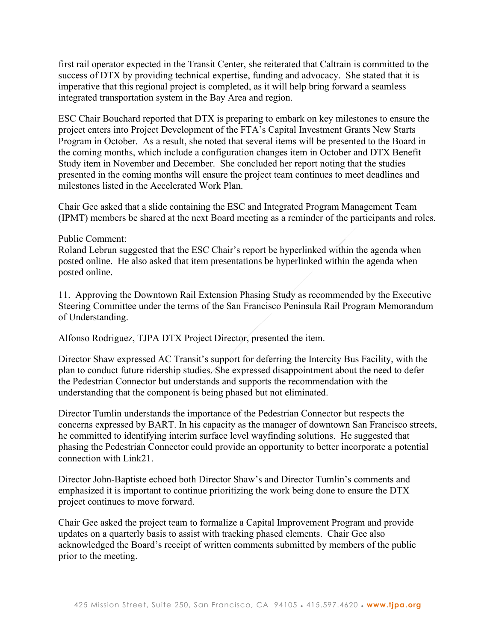first rail operator expected in the Transit Center, she reiterated that Caltrain is committed to the success of DTX by providing technical expertise, funding and advocacy. She stated that it is imperative that this regional project is completed, as it will help bring forward a seamless integrated transportation system in the Bay Area and region.

ESC Chair Bouchard reported that DTX is preparing to embark on key milestones to ensure the project enters into Project Development of the FTA's Capital Investment Grants New Starts Program in October. As a result, she noted that several items will be presented to the Board in the coming months, which include a configuration changes item in October and DTX Benefit Study item in November and December. She concluded her report noting that the studies presented in the coming months will ensure the project team continues to meet deadlines and milestones listed in the Accelerated Work Plan.

Chair Gee asked that a slide containing the ESC and Integrated Program Management Team (IPMT) members be shared at the next Board meeting as a reminder of the participants and roles.

#### Public Comment:

Roland Lebrun suggested that the ESC Chair's report be hyperlinked within the agenda when posted online. He also asked that item presentations be hyperlinked within the agenda when posted online.

11. Approving the Downtown Rail Extension Phasing Study as recommended by the Executive Steering Committee under the terms of the San Francisco Peninsula Rail Program Memorandum of Understanding.

Alfonso Rodriguez, TJPA DTX Project Director, presented the item.

Director Shaw expressed AC Transit's support for deferring the Intercity Bus Facility, with the plan to conduct future ridership studies. She expressed disappointment about the need to defer the Pedestrian Connector but understands and supports the recommendation with the understanding that the component is being phased but not eliminated.

Director Tumlin understands the importance of the Pedestrian Connector but respects the concerns expressed by BART. In his capacity as the manager of downtown San Francisco streets, he committed to identifying interim surface level wayfinding solutions. He suggested that phasing the Pedestrian Connector could provide an opportunity to better incorporate a potential connection with Link21.

Director John-Baptiste echoed both Director Shaw's and Director Tumlin's comments and emphasized it is important to continue prioritizing the work being done to ensure the DTX project continues to move forward.

Chair Gee asked the project team to formalize a Capital Improvement Program and provide updates on a quarterly basis to assist with tracking phased elements. Chair Gee also acknowledged the Board's receipt of written comments submitted by members of the public prior to the meeting.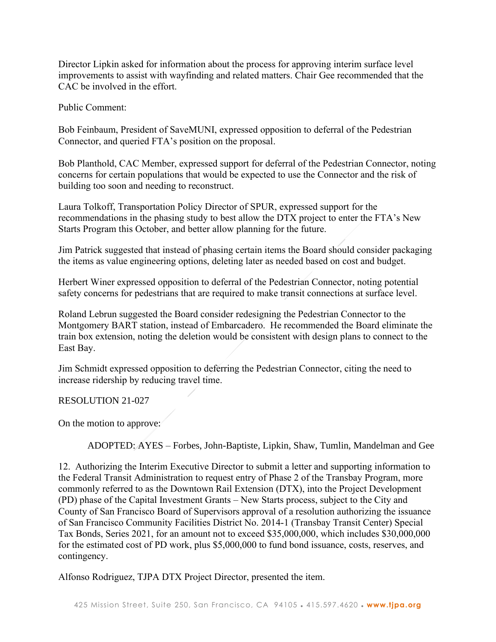Director Lipkin asked for information about the process for approving interim surface level improvements to assist with wayfinding and related matters. Chair Gee recommended that the CAC be involved in the effort.

Public Comment:

Bob Feinbaum, President of SaveMUNI, expressed opposition to deferral of the Pedestrian Connector, and queried FTA's position on the proposal.

Bob Planthold, CAC Member, expressed support for deferral of the Pedestrian Connector, noting concerns for certain populations that would be expected to use the Connector and the risk of building too soon and needing to reconstruct.

Laura Tolkoff, Transportation Policy Director of SPUR, expressed support for the recommendations in the phasing study to best allow the DTX project to enter the FTA's New Starts Program this October, and better allow planning for the future.

Jim Patrick suggested that instead of phasing certain items the Board should consider packaging the items as value engineering options, deleting later as needed based on cost and budget.

Herbert Winer expressed opposition to deferral of the Pedestrian Connector, noting potential safety concerns for pedestrians that are required to make transit connections at surface level.

Roland Lebrun suggested the Board consider redesigning the Pedestrian Connector to the Montgomery BART station, instead of Embarcadero. He recommended the Board eliminate the train box extension, noting the deletion would be consistent with design plans to connect to the East Bay.

Jim Schmidt expressed opposition to deferring the Pedestrian Connector, citing the need to increase ridership by reducing travel time.

RESOLUTION 21-027

On the motion to approve:

ADOPTED: AYES – Forbes, John-Baptiste, Lipkin, Shaw, Tumlin, Mandelman and Gee

12. Authorizing the Interim Executive Director to submit a letter and supporting information to the Federal Transit Administration to request entry of Phase 2 of the Transbay Program, more commonly referred to as the Downtown Rail Extension (DTX), into the Project Development (PD) phase of the Capital Investment Grants – New Starts process, subject to the City and County of San Francisco Board of Supervisors approval of a resolution authorizing the issuance of San Francisco Community Facilities District No. 2014‐1 (Transbay Transit Center) Special Tax Bonds, Series 2021, for an amount not to exceed \$35,000,000, which includes \$30,000,000 for the estimated cost of PD work, plus \$5,000,000 to fund bond issuance, costs, reserves, and contingency.

Alfonso Rodriguez, TJPA DTX Project Director, presented the item.